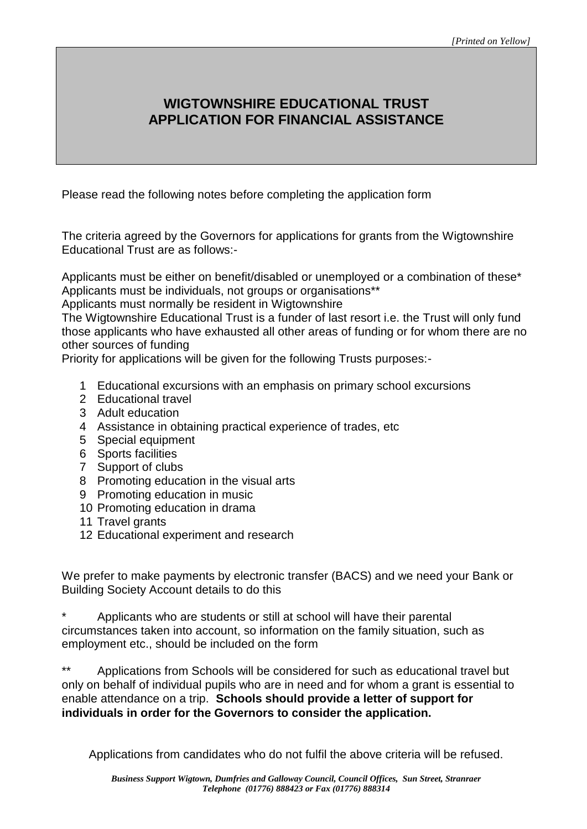## **WIGTOWNSHIRE EDUCATIONAL TRUST APPLICATION FOR FINANCIAL ASSISTANCE**

Please read the following notes before completing the application form

The criteria agreed by the Governors for applications for grants from the Wigtownshire Educational Trust are as follows:-

Applicants must be either on benefit/disabled or unemployed or a combination of these\* Applicants must be individuals, not groups or organisations\*\*

Applicants must normally be resident in Wigtownshire

The Wigtownshire Educational Trust is a funder of last resort i.e. the Trust will only fund those applicants who have exhausted all other areas of funding or for whom there are no other sources of funding

Priority for applications will be given for the following Trusts purposes:-

- 1 Educational excursions with an emphasis on primary school excursions
- 2 Educational travel
- 3 Adult education
- 4 Assistance in obtaining practical experience of trades, etc
- 5 Special equipment
- 6 Sports facilities
- 7 Support of clubs
- 8 Promoting education in the visual arts
- 9 Promoting education in music
- 10 Promoting education in drama
- 11 Travel grants
- 12 Educational experiment and research

We prefer to make payments by electronic transfer (BACS) and we need your Bank or Building Society Account details to do this

Applicants who are students or still at school will have their parental circumstances taken into account, so information on the family situation, such as employment etc., should be included on the form

\*\* Applications from Schools will be considered for such as educational travel but only on behalf of individual pupils who are in need and for whom a grant is essential to enable attendance on a trip. **Schools should provide a letter of support for individuals in order for the Governors to consider the application.**

Applications from candidates who do not fulfil the above criteria will be refused.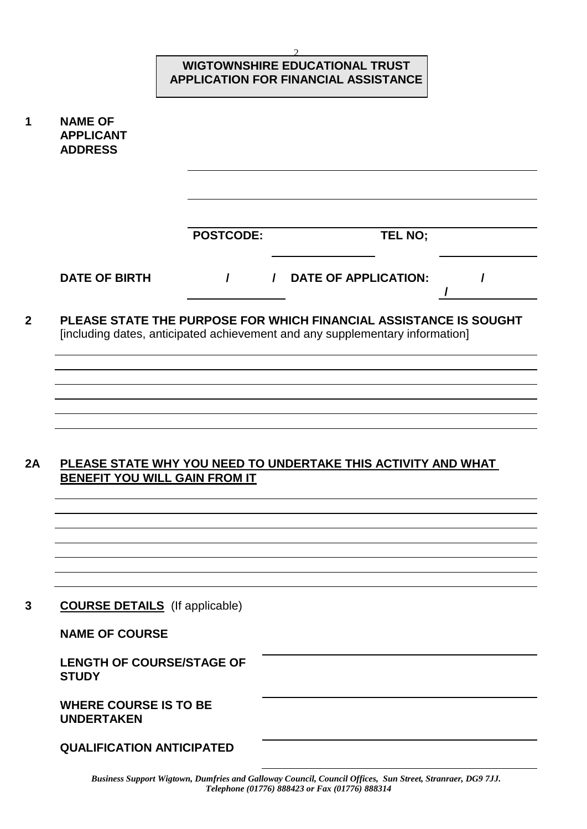## **WIGTOWNSHIRE EDUCATIONAL TRUST APPLICATION FOR FINANCIAL ASSISTANCE**

 $\Omega$ 

**1 NAME OF APPLICANT ADDRESS**

**POSTCODE: TEL NO;**

**DATE OF BIRTH / / DATE OF APPLICATION: /** 

| $\overline{I}$ |
|----------------|
|----------------|

**/**

**2 PLEASE STATE THE PURPOSE FOR WHICH FINANCIAL ASSISTANCE IS SOUGHT**  [including dates, anticipated achievement and any supplementary information]

## **2A PLEASE STATE WHY YOU NEED TO UNDERTAKE THIS ACTIVITY AND WHAT BENEFIT YOU WILL GAIN FROM IT**

| 3 | <b>COURSE DETAILS</b> (If applicable)             |  |
|---|---------------------------------------------------|--|
|   | <b>NAME OF COURSE</b>                             |  |
|   | <b>LENGTH OF COURSE/STAGE OF</b><br><b>STUDY</b>  |  |
|   | <b>WHERE COURSE IS TO BE</b><br><b>UNDERTAKEN</b> |  |
|   | <b>QUALIFICATION ANTICIPATED</b>                  |  |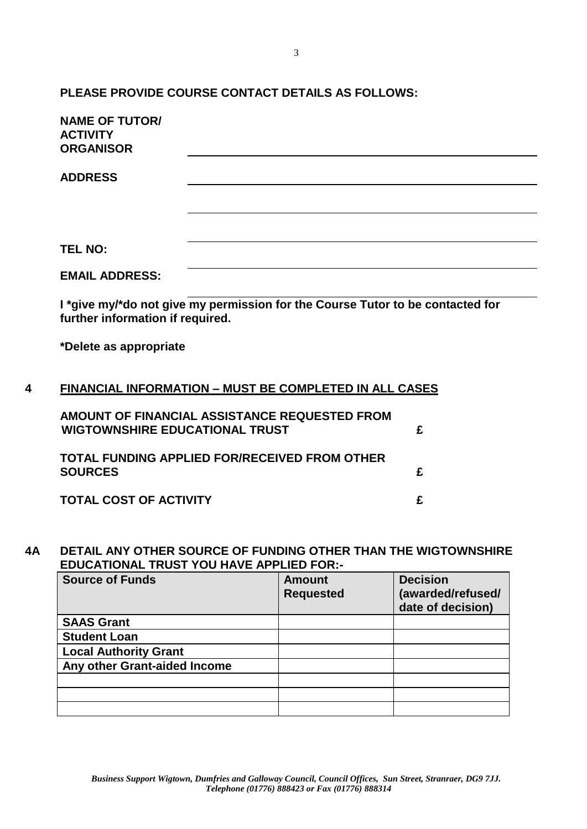## **PLEASE PROVIDE COURSE CONTACT DETAILS AS FOLLOWS:**

|   | <b>NAME OF TUTOR/</b><br><b>ACTIVITY</b><br><b>ORGANISOR</b> |                                                                                |   |
|---|--------------------------------------------------------------|--------------------------------------------------------------------------------|---|
|   | <b>ADDRESS</b>                                               |                                                                                |   |
|   |                                                              |                                                                                |   |
|   | <b>TEL NO:</b>                                               |                                                                                |   |
|   | <b>EMAIL ADDRESS:</b>                                        |                                                                                |   |
|   | further information if required.                             | I *give my/*do not give my permission for the Course Tutor to be contacted for |   |
|   | *Delete as appropriate                                       |                                                                                |   |
| 4 |                                                              | <b>FINANCIAL INFORMATION - MUST BE COMPLETED IN ALL CASES</b>                  |   |
|   | <b>WIGTOWNSHIRE EDUCATIONAL TRUST</b>                        | AMOUNT OF FINANCIAL ASSISTANCE REQUESTED FROM                                  | £ |
|   | <b>SOURCES</b>                                               | <b>TOTAL FUNDING APPLIED FOR/RECEIVED FROM OTHER</b>                           | £ |
|   | <b>TOTAL COST OF ACTIVITY</b>                                |                                                                                | £ |

## **4A DETAIL ANY OTHER SOURCE OF FUNDING OTHER THAN THE WIGTOWNSHIRE EDUCATIONAL TRUST YOU HAVE APPLIED FOR:-**

| <b>Source of Funds</b>       | <b>Amount</b><br><b>Requested</b> | <b>Decision</b><br>(awarded/refused/<br>date of decision) |
|------------------------------|-----------------------------------|-----------------------------------------------------------|
| <b>SAAS Grant</b>            |                                   |                                                           |
| <b>Student Loan</b>          |                                   |                                                           |
| <b>Local Authority Grant</b> |                                   |                                                           |
| Any other Grant-aided Income |                                   |                                                           |
|                              |                                   |                                                           |
|                              |                                   |                                                           |
|                              |                                   |                                                           |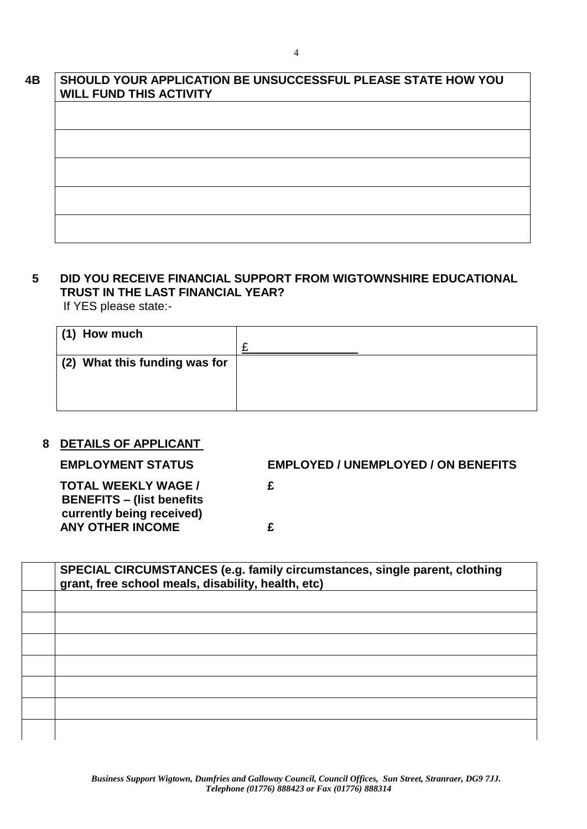# **4B SHOULD YOUR APPLICATION BE UNSUCCESSFUL PLEASE STATE HOW YOU WILL FUND THIS ACTIVITY**

**5 DID YOU RECEIVE FINANCIAL SUPPORT FROM WIGTOWNSHIRE EDUCATIONAL TRUST IN THE LAST FINANCIAL YEAR?**

If YES please state:-

| $(1)$ How much                   |  |
|----------------------------------|--|
|                                  |  |
| What this funding was for<br>(2) |  |
|                                  |  |
|                                  |  |
|                                  |  |

#### **8 DETAILS OF APPLICANT**

| <b>EMPLOYMENT STATUS</b>                                        | <b>EMPLOYED / UNEMPLOYED / ON BENEFITS</b> |
|-----------------------------------------------------------------|--------------------------------------------|
| <b>TOTAL WEEKLY WAGE /</b><br><b>BENEFITS - (list benefits)</b> | £                                          |
| currently being received)<br><b>ANY OTHER INCOME</b>            |                                            |

| SPECIAL CIRCUMSTANCES (e.g. family circumstances, single parent, clothing<br>grant, free school meals, disability, health, etc) |
|---------------------------------------------------------------------------------------------------------------------------------|
|                                                                                                                                 |
|                                                                                                                                 |
|                                                                                                                                 |
|                                                                                                                                 |
|                                                                                                                                 |
|                                                                                                                                 |
|                                                                                                                                 |